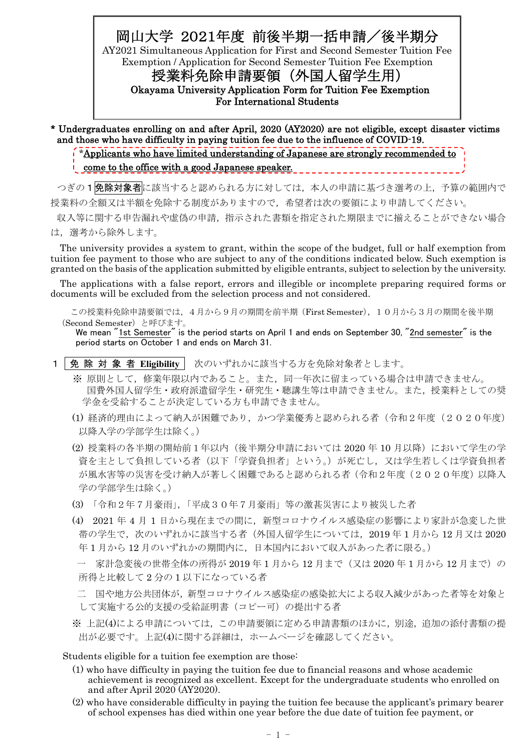# 岡山大学 2021年度 前後半期一括申請/後半期分

AY2021 Simultaneous Application for First and Second Semester Tuition Fee Exemption / Application for Second Semester Tuition Fee Exemption

授業料免除申請要領 (外国人留学生用) Okayama University Application Form for Tuition Fee Exemption

For International Students

- \* Undergraduates enrolling on and after April, 2020 (AY2020) are not eligible, except disaster victims and those who have difficulty in paying tuition fee due to the influence of COVID-19.
	- \*Applicants who have limited understanding of Japanese are strongly recommended to

#### come to the office with a good Japanese speaker.

つぎの1免除対象者に該当すると認められる方に対しては、本人の申請に基づき選考の上、予算の範囲内で 授業料の全額又は半額を免除する制度がありますので,希望者は次の要領により申請してください。

収入等に関する申告漏れや虚偽の申請,指示された書類を指定された期限までに揃えることができない場合 は,選考から除外します。

The university provides a system to grant, within the scope of the budget, full or half exemption from tuition fee payment to those who are subject to any of the conditions indicated below. Such exemption is granted on the basis of the application submitted by eligible entrants, subject to selection by the university.

The applications with a false report, errors and illegible or incomplete preparing required forms or documents will be excluded from the selection process and not considered.

この授業料免除申請要領では,4月から9月の期間を前半期(First Semester),10月から3月の期間を後半期 (Second Semester)と呼びます。

We mean "1st Semester" is the period starts on April 1 and ends on September 30, "2nd semester" is the period starts on October 1 and ends on March 31.

- 1 | 免 除対 象 者 Eligibility | 次のいずれかに該当する方を免除対象者とします。
	- ※ 原則として,修業年限以内であること。また,同一年次に留まっている場合は申請できません。 国費外国人留学生・政府派遣留学生・研究生・聴講生等は申請できません。また,授業料としての奨 学金を受給することが決定している方も申請できません。
	- (1) 経済的理由によって納入が困難であり,かつ学業優秀と認められる者(令和2年度(2020年度) 以降入学の学部学生は除く。)
	- (2) 授業料の各半期の開始前1年以内(後半期分申請においては 2020 年 10 月以降)において学生の学 資を主として負担している者(以下「学資負担者」という。)が死亡し,又は学生若しくは学資負担者 が風水害等の災害を受け納入が著しく困難であると認められる者(令和2年度(2020年度)以降入 学の学部学生は除く。)
	- (3) 「令和2年7月豪雨」,「平成30年7月豪雨」等の激甚災害により被災した者
	- (4) 2021 年 4 月 1 日から現在までの間に,新型コロナウイルス感染症の影響により家計が急変した世 帯の学生で,次のいずれかに該当する者(外国人留学生については,2019 年 1 月から 12 月又は 2020 年 1 月から 12 月のいずれかの期間内に,日本国内において収入があった者に限る。)

ー 家計急変後の世帯全体の所得が 2019年1月から12月まで(又は 2020年1月から12月まで)の 所得と比較して 2 分の 1 以下になっている者

- 二 国や地方公共団体が,新型コロナウイルス感染症の感染拡大による収入減少があった者等を対象と して実施する公的支援の受給証明書(コピー可)の提出する者
- ※ 上記(4)による申請については,この申請要領に定める申請書類のほかに,別途,追加の添付書類の提 出が必要です。上記(4)に関する詳細は,ホームページを確認してください。

Students eligible for a tuition fee exemption are those:

- (1) who have difficulty in paying the tuition fee due to financial reasons and whose academic achievement is recognized as excellent. Except for the undergraduate students who enrolled on and after April 2020 (AY2020).
- (2) who have considerable difficulty in paying the tuition fee because the applicant's primary bearer of school expenses has died within one year before the due date of tuition fee payment, or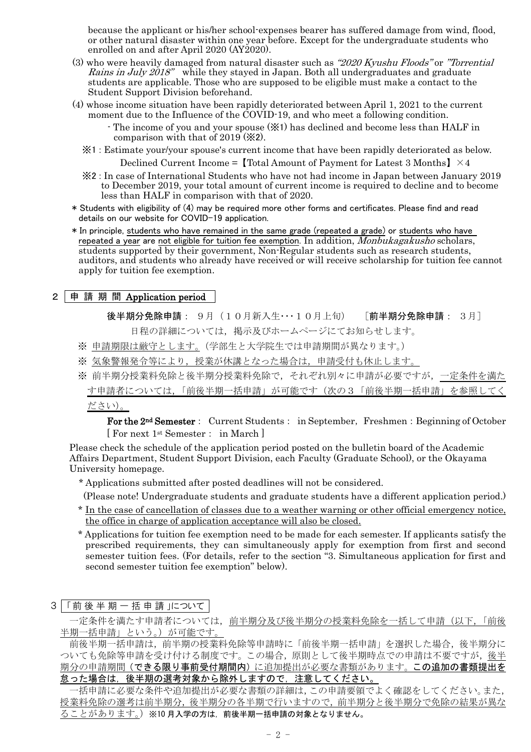because the applicant or his/her school-expenses bearer has suffered damage from wind, flood, or other natural disaster within one year before. Except for the undergraduate students who enrolled on and after April 2020 (AY2020).

- (3) who were heavily damaged from natural disaster such as  $"2020$  Kyushu Floods" or "Torrential" Rains in July 2018" while they stayed in Japan. Both all undergraduates and graduate students are applicable. Those who are supposed to be eligible must make a contact to the Student Support Division beforehand.
- (4) whose income situation have been rapidly deteriorated between April 1, 2021 to the current moment due to the Influence of the COVID-19, and who meet a following condition.
	- The income of you and your spouse (※1) has declined and become less than HALF in comparison with that of 2019 (※2).
	- ※1 : Estimate your/your spouse's current income that have been rapidly deteriorated as below. Declined Current Income = [Total Amount of Payment for Latest 3 Months]  $\times$  4
	- ※2 : In case of International Students who have not had income in Japan between January 2019 to December 2019, your total amount of current income is required to decline and to become less than HALF in comparison with that of 2020.
- \* Students with eligibility of (4) may be required more other forms and certificates. Please find and read details on our website for COVID-19 application.
- \* In principle, students who have remained in the same grade (repeated a grade) or students who have repeated a year are not eligible for tuition fee exemption. In addition, *Monbukagakusho* scholars, students supported by their government, Non-Regular students such as research students, auditors, and students who already have received or will receive scholarship for tuition fee cannot apply for tuition fee exemption.

# 2 申 請 期 間 Application period

後半期分免除申請: 9月(10月新入生・・・10月上旬) 「前半期分免除申請: 3月]

日程の詳細については,掲示及びホームページにてお知らせします。

- ※ 申請期限は厳守とします。(学部生と大学院生では申請期間が異なります。)
- ※ 気象警報発令等により,授業が休講となった場合は,申請受付も休止します。

※ 前半期分授業料免除と後半期分授業料免除で,それぞれ別々に申請が必要ですが,一定条件を満た す申請者については、「前後半期一括申請」が可能です(次の3「前後半期一括申請」を参照し ださい)。

For the 2<sup>nd</sup> Semester: Current Students: in September, Freshmen: Beginning of October [ For next 1st Semester: in March ]

Please check the schedule of the application period posted on the bulletin board of the Academic Affairs Department, Student Support Division, each Faculty (Graduate School), or the Okayama University homepage.

\* Applications submitted after posted deadlines will not be considered.

(Please note! Undergraduate students and graduate students have a different application period.)

- \* In the case of cancellation of classes due to a weather warning or other official emergency notice, the office in charge of application acceptance will also be closed.
- \* Applications for tuition fee exemption need to be made for each semester. If applicants satisfy the prescribed requirements, they can simultaneously apply for exemption from first and second semester tuition fees. (For details, refer to the section "3. Simultaneous application for first and second semester tuition fee exemption" below).
- 3 「前後半期一括申請 について

一定条件を満たす申請者については,前半期分及び後半期分の授業料免除を一括して申請(以下,「前後 半期一括申請」という。)が可能です。

前後半期一括申請は、前半期の授業料免除等申請時に「前後半期一括申請」を選択した場合,後半期分に ついても免除等申請を受け付ける制度です。この場合,原則として後半期時点での申請は不要ですが,後半 期分の申請期間(できる限り事前受付期間内)に追加提出が必要な書類があります。この追加の書類提出を 怠った場合は,後半期の選考対象から除外しますので,注意してください。

一括申請に必要な条件や追加提出が必要な書類の詳細は,この申請要領でよく確認をしてください。また, 授業料免除の選考は前半期分,後半期分の各半期で行いますので,前半期分と後半期分で免除の結果が異な ることがあります。)※10 月入学の方は,前後半期一括申請の対象となりません。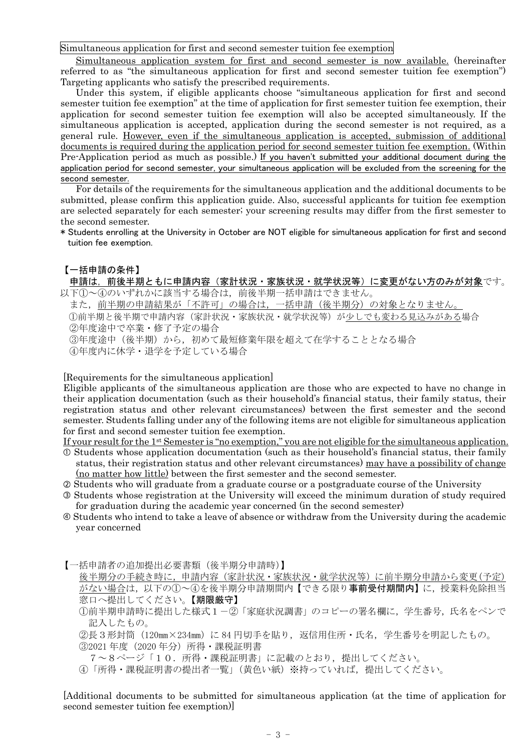Simultaneous application for first and second semester tuition fee exemption

Simultaneous application system for first and second semester is now available. (hereinafter referred to as "the simultaneous application for first and second semester tuition fee exemption") Targeting applicants who satisfy the prescribed requirements.

Under this system, if eligible applicants choose "simultaneous application for first and second semester tuition fee exemption" at the time of application for first semester tuition fee exemption, their application for second semester tuition fee exemption will also be accepted simultaneously. If the simultaneous application is accepted, application during the second semester is not required, as a general rule. However, even if the simultaneous application is accepted, submission of additional documents is required during the application period for second semester tuition fee exemption. (Within Pre-Application period as much as possible.) If you haven't submitted your additional document during the application period for second semester, your simultaneous application will be excluded from the screening for the second semester.

For details of the requirements for the simultaneous application and the additional documents to be submitted, please confirm this application guide. Also, successful applicants for tuition fee exemption are selected separately for each semester; your screening results may differ from the first semester to the second semester.

\* Students enrolling at the University in October are NOT eligible for simultaneous application for first and second tuition fee exemption.

#### 【一括申請の条件】

申請は,前後半期ともに申請内容(家計状況・家族状況・就学状況等)に変更がない方のみが対象です。 以下①~④のいずれかに該当する場合は,前後半期一括申請はできません。

また,前半期の申請結果が「不許可」の場合は,一括申請(後半期分)の対象となりません。 ①前半期と後半期で申請内容(家計状況・家族状況・就学状況等)が少しでも変わる見込みがある場合 ②年度途中で卒業・修了予定の場合 ③年度途中(後半期)から,初めて最短修業年限を超えて在学することとなる場合

④年度内に休学・退学を予定している場合

[Requirements for the simultaneous application]

Eligible applicants of the simultaneous application are those who are expected to have no change in their application documentation (such as their household's financial status, their family status, their registration status and other relevant circumstances) between the first semester and the second semester. Students falling under any of the following items are not eligible for simultaneous application for first and second semester tuition fee exemption.

If your result for the 1st Semester is "no exemption," you are not eligible for the simultaneous application.

- $\Phi$  Students whose application documentation (such as their household's financial status, their family status, their registration status and other relevant circumstances) may have a possibility of change (no matter how little) between the first semester and the second semester.
- Students who will graduate from a graduate course or a postgraduate course of the University
- Students whose registration at the University will exceed the minimum duration of study required for graduation during the academic year concerned (in the second semester)
- Students who intend to take a leave of absence or withdraw from the University during the academic year concerned
- 【一括申請者の追加提出必要書類(後半期分申請時)】
	- 後半期分の手続き時に,申請内容(家計状況・家族状況・就学状況等)に前半期分申請から変更(予定) がない場合は、以下の①~④を後半期分申請期間内【できる限り事前受付期間内】に、授業料免除担当 窓口へ提出してください。【期限厳守】
	- ①前半期申請時に提出した様式1-②「家庭状況調書」のコピーの署名欄に,学生番号,氏名をペンで 記入したもの。
	- ②長3形封筒(120mm×234mm)に 84 円切手を貼り, 返信用住所・氏名, 学生番号を明記したもの。
	- **③2021 年度 (2020 年分) 所得・課税証明書**
	- 7~8ページ「10.所得・課税証明書」に記載のとおり,提出してください。
	- ④「所得・課税証明書の提出者一覧」(黄色い紙)※持っていれば,提出してください。

[Additional documents to be submitted for simultaneous application (at the time of application for second semester tuition fee exemption)]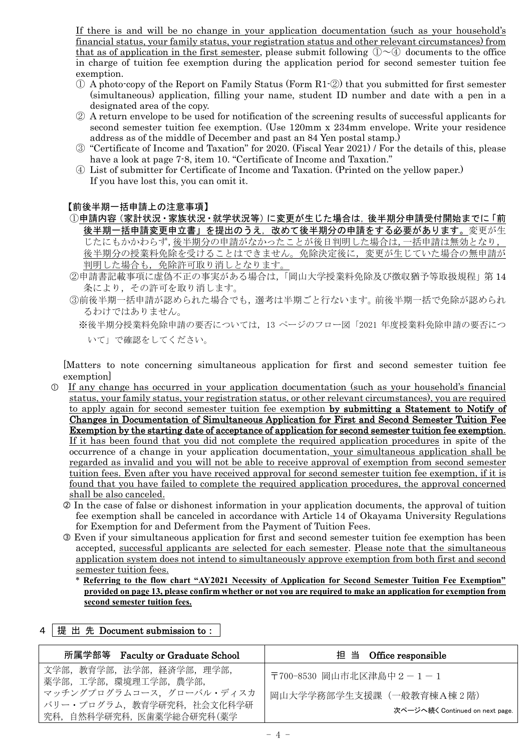If there is and will be no change in your application documentation (such as your household's financial status, your family status, your registration status and other relevant circumstances) from that as of application in the first semester, please submit following  $\mathbb{O} \sim \mathbb{O}$  documents to the office in charge of tuition fee exemption during the application period for second semester tuition fee exemption.

- ① A photo-copy of the Report on Family Status (Form R1-②) that you submitted for first semester (simultaneous) application, filling your name, student ID number and date with a pen in a designated area of the copy.
- ② A return envelope to be used for notification of the screening results of successful applicants for second semester tuition fee exemption. (Use 120mm x 234mm envelope. Write your residence address as of the middle of December and past an 84 Yen postal stamp.)
- ③ "Certificate of Income and Taxation" for 2020. (Fiscal Year 2021) / For the details of this, please have a look at page 7-8, item 10. "Certificate of Income and Taxation."
- ④ List of submitter for Certificate of Income and Taxation. (Printed on the yellow paper.) If you have lost this, you can omit it.

#### 【前後半期一括申請上の注意事項】

10申請内容(家計状況·家族状況·就学状況等)に変更が生じた場合は,後半期分申請受付開始までに「前 後半期一括申請変更申立書」を提出のうえ,改めて後半期分の申請をする必要があります。変更が生 じたにもかかわらず,後半期分の申請がなかったことが後日判明した場合は,一括申請は無効となり, 後半期分の授業料免除を受けることはできません。免除決定後に,変更が生じていた場合の無申請が 判明した場合も,免除許可取り消しとなります。

- ②申請書記載事項に虚偽不正の事実がある場合は,「岡山大学授業料免除及び徴収猶予等取扱規程」第 14 条により,その許可を取り消します。
- ③前後半期一括申請が認められた場合でも,選考は半期ごと行ないます。前後半期一括で免除が認められ るわけではありません。

※後半期分授業料免除申請の要否については,13 ページのフロー図「2021 年度授業料免除申請の要否につ いて」で確認をしてください。

[Matters to note concerning simultaneous application for first and second semester tuition fee exemption]

- If any change has occurred in your application documentation (such as your household's financial status, your family status, your registration status, or other relevant circumstances), you are required to apply again for second semester tuition fee exemption by submitting a Statement to Notify of Changes in Documentation of Simultaneous Application for First and Second Semester Tuition Fee Exemption by the starting date of acceptance of application for second semester tuition fee exemption. If it has been found that you did not complete the required application procedures in spite of the occurrence of a change in your application documentation, your simultaneous application shall be regarded as invalid and you will not be able to receive approval of exemption from second semester tuition fees. Even after you have received approval for second semester tuition fee exemption, if it is found that you have failed to complete the required application procedures, the approval concerned shall be also canceled.
	- In the case of false or dishonest information in your application documents, the approval of tuition fee exemption shall be canceled in accordance with Article 14 of Okayama University Regulations for Exemption for and Deferment from the Payment of Tuition Fees.
	- Even if your simultaneous application for first and second semester tuition fee exemption has been accepted, successful applicants are selected for each semester. Please note that the simultaneous application system does not intend to simultaneously approve exemption from both first and second semester tuition fees.
		- \* **Referring to the flow chart "AY2021 Necessity of Application for Second Semester Tuition Fee Exemption"** provided on page 13, please confirm whether or not you are required to make an application for exemption from **second semester tuition fees.**

| 所属学部等 Faculty or Graduate School                                                                                                    | 担 当 Office responsible                                                                 |
|-------------------------------------------------------------------------------------------------------------------------------------|----------------------------------------------------------------------------------------|
| 文学部,教育学部,法学部,経済学部,理学部,<br>薬学部, 工学部, 環境理工学部, 農学部,<br>マッチングプログラムコース、グローバル・ディスカ<br>バリー・プログラム、教育学研究科、社会文化科学研<br>究科,自然科学研究科,医歯薬学総合研究科(薬学 | 〒700-8530 岡山市北区津島中2-1-1<br>岡山大学学務部学生支援課 (一般教育棟A棟2階)<br>次ページへ続く Continued on next page. |

### 4 提 出 先 Document submission to: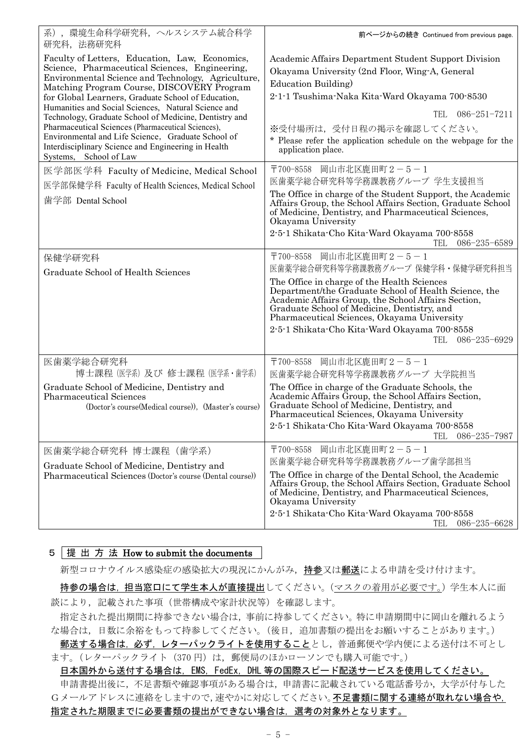| 系), 環境生命科学研究科, ヘルスシステム統合科学<br>研究科, 法務研究科                                                                                                                                                                                                                                                                          | 前ページからの続き Continued from previous page.                                                                                                                                                                                                                                                                                       |
|-------------------------------------------------------------------------------------------------------------------------------------------------------------------------------------------------------------------------------------------------------------------------------------------------------------------|-------------------------------------------------------------------------------------------------------------------------------------------------------------------------------------------------------------------------------------------------------------------------------------------------------------------------------|
| Faculty of Letters, Education, Law, Economics,<br>Science, Pharmaceutical Sciences, Engineering,<br>Environmental Science and Technology, Agriculture,<br>Matching Program Course, DISCOVERY Program<br>for Global Learners, Graduate School of Education,<br>Humanities and Social Sciences, Natural Science and | Academic Affairs Department Student Support Division<br>Okayama University (2nd Floor, Wing-A, General<br>Education Building)<br>2-1-1 Tsushima-Naka Kita-Ward Okayama 700-8530                                                                                                                                               |
| Technology, Graduate School of Medicine, Dentistry and<br>Pharmaceutical Sciences (Pharmaceutical Sciences),                                                                                                                                                                                                      | $086 - 251 - 7211$<br><b>TEL</b>                                                                                                                                                                                                                                                                                              |
| Environmental and Life Science, Graduate School of<br>Interdisciplinary Science and Engineering in Health<br>Systems, School of Law                                                                                                                                                                               | ※受付場所は、受付日程の掲示を確認してください。<br>* Please refer the application schedule on the webpage for the<br>application place.                                                                                                                                                                                                              |
| 医学部医学科 Faculty of Medicine, Medical School                                                                                                                                                                                                                                                                        | 〒700-8558 岡山市北区鹿田町2-5-1                                                                                                                                                                                                                                                                                                       |
| 医学部保健学科 Faculty of Health Sciences, Medical School                                                                                                                                                                                                                                                                | 医歯薬学総合研究科等学務課教務グループ 学生支援担当                                                                                                                                                                                                                                                                                                    |
| 歯学部 Dental School                                                                                                                                                                                                                                                                                                 | The Office in charge of the Student Support, the Academic<br>Affairs Group, the School Affairs Section, Graduate School<br>of Medicine, Dentistry, and Pharmaceutical Sciences,<br>Okayama University                                                                                                                         |
|                                                                                                                                                                                                                                                                                                                   | 2-5-1 Shikata-Cho Kita-Ward Okayama 700-8558<br>086-235-6589<br>TEL                                                                                                                                                                                                                                                           |
| 保健学研究科                                                                                                                                                                                                                                                                                                            | 〒700-8558 岡山市北区鹿田町2-5-1                                                                                                                                                                                                                                                                                                       |
| Graduate School of Health Sciences                                                                                                                                                                                                                                                                                | 医歯薬学総合研究科等学務課教務グループ 保健学科・保健学研究科担当                                                                                                                                                                                                                                                                                             |
|                                                                                                                                                                                                                                                                                                                   | The Office in charge of the Health Sciences<br>Department/the Graduate School of Health Science, the<br>Academic Affairs Group, the School Affairs Section,<br>Graduate School of Medicine, Dentistry, and<br>Pharmaceutical Sciences, Okayama University<br>2-5-1 Shikata-Cho Kita-Ward Okayama 700-8558<br>TEL 086-235-6929 |
| 医歯薬学総合研究科                                                                                                                                                                                                                                                                                                         | 岡山市北区鹿田町2-5-1<br>〒700-8558                                                                                                                                                                                                                                                                                                    |
| 博士課程 (医学系) 及び 修士課程 (医学系・歯学系)                                                                                                                                                                                                                                                                                      | 医歯薬学総合研究科等学務課教務グループ 大学院担当                                                                                                                                                                                                                                                                                                     |
| Graduate School of Medicine, Dentistry and<br><b>Pharmaceutical Sciences</b><br>(Doctor's course(Medical course)), (Master's course)                                                                                                                                                                              | The Office in charge of the Graduate Schools, the<br>Academic Affairs Group, the School Affairs Section,<br>Graduate School of Medicine, Dentistry, and<br>Pharmaceutical Sciences, Okayama University<br>2-5-1 Shikata-Cho Kita-Ward Okayama 700-8558<br>086-235-7987<br><b>TEL</b>                                          |
| 医歯薬学総合研究科 博士課程(歯学系)                                                                                                                                                                                                                                                                                               | 岡山市北区鹿田町2-5-1<br>〒700-8558                                                                                                                                                                                                                                                                                                    |
| Graduate School of Medicine, Dentistry and                                                                                                                                                                                                                                                                        | 医歯薬学総合研究科等学務課教務グループ歯学部担当                                                                                                                                                                                                                                                                                                      |
| Pharmaceutical Sciences (Doctor's course (Dental course))                                                                                                                                                                                                                                                         | The Office in charge of the Dental School, the Academic<br>Affairs Group, the School Affairs Section, Graduate School<br>of Medicine, Dentistry, and Pharmaceutical Sciences,<br>Okayama University                                                                                                                           |
|                                                                                                                                                                                                                                                                                                                   | 2-5-1 Shikata-Cho Kita-Ward Okayama 700-8558<br>086-235-6628<br>TEL                                                                                                                                                                                                                                                           |

#### 5 提 出 方 法 How to submit the documents

新型コロナウイルス感染症の感染拡大の現況にかんがみ、持参又は郵送による申請を受け付けます。

持参の場合は、担当窓口にて学生本人が直接提出してください。(マスクの着用が必要です。)学生本人に面 談により,記載された事項(世帯構成や家計状況等)を確認します。

指定された提出期間に持参できない場合は,事前に持参してください。特に申請期間中に岡山を離れるよう な場合は,日数に余裕をもって持参してください。(後日,追加書類の提出をお願いすることがあります。)

郵送する場合は,必ず,レターパックライトを使用することとし,普通郵便や学内便による送付は不可とし ます。(レターパックライト(370円)は、郵便局のほかローソンでも購入可能です。)

日本国外から送付する場合は, EMS, FedEx, DHL 等の国際スピード配送サービスを使用してください。 申請書提出後に,不足書類や確認事項がある場合は,申請書に記載されている電話番号か,大学が付与した Gメールアドレスに連絡をしますので,速やかに対応してください。不足書類に関する連絡が取れない場合や, 指定された期限までに必要書類の提出ができない場合は,選考の対象外となります。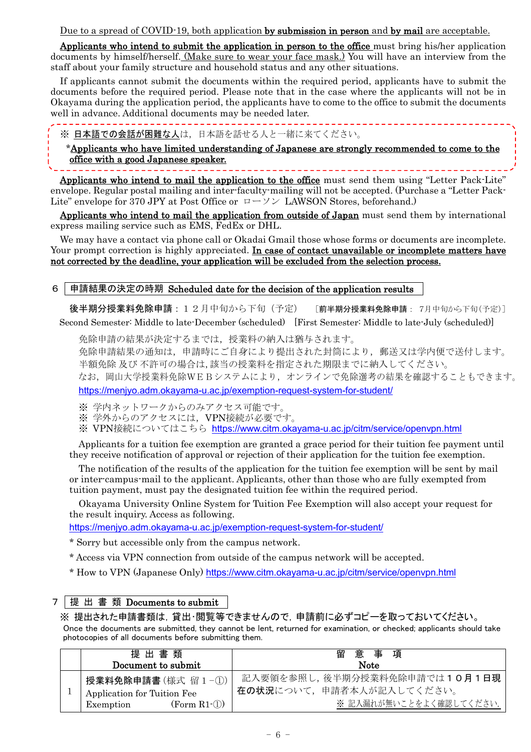Due to a spread of COVID-19, both application by submission in person and by mail are acceptable.

Applicants who intend to submit the application in person to the office must bring his/her application documents by himself/herself. (Make sure to wear your face mask.) You will have an interview from the staff about your family structure and household status and any other situations.

If applicants cannot submit the documents within the required period, applicants have to submit the documents before the required period. Please note that in the case where the applicants will not be in Okayama during the application period, the applicants have to come to the office to submit the documents well in advance. Additional documents may be needed later.

※ 日本語での会話が困難な人は,日本語を話せる人と一緒に来てください。

\_ \_ \_ \_ \_ \_ \_ \_ \_ \_ \_ \_ \_ \_ \_ \_ \_ \_ \_

\*Applicants who have limited understanding of Japanese are strongly recommended to come to the office with a good Japanese speaker.

Applicants who intend to mail the application to the office must send them using "Letter Pack-Lite" envelope. Regular postal mailing and inter-faculty-mailing will not be accepted. (Purchase a "Letter Pack-Lite" envelope for 370 JPY at Post Office or  $\Box \rightarrow \Diamond \angle$  LAWSON Stores, beforehand.)

Applicants who intend to mail the application from outside of Japan must send them by international express mailing service such as EMS, FedEx or DHL.

We may have a contact via phone call or Okadai Gmail those whose forms or documents are incomplete. Your prompt correction is highly appreciated. In case of contact unavailable or incomplete matters have not corrected by the deadline, your application will be excluded from the selection process.

## 6 申請結果の決定の時期 Scheduled date for the decision of the application results

後半期分授業料免除申請: 12月中旬から下旬(予定) 「前半期分授業料免除申請: 7月中旬から下旬(予定)] Second Semester: Middle to late-December (scheduled) [First Semester: Middle to late-July (scheduled)]

免除申請の結果が決定するまでは,授業料の納入は猶与されます。

免除申請結果の通知は,申請時にご自身により提出された封筒により,郵送又は学内便で送付します。 半額免除 及び 不許可の場合は,該当の授業料を指定された期限までに納入してください。

なお,岡山大学授業料免除WEBシステムにより,オンラインで免除選考の結果を確認することもできます。

<https://menjyo.adm.okayama-u.ac.jp/exemption-request-system-for-student/>

※ 学内ネットワークからのみアクセス可能です。

※ 学外からのアクセスには,VPN接続が必要です。

※ VPN接続についてはこちら <https://www.citm.okayama-u.ac.jp/citm/service/openvpn.html>

Applicants for a tuition fee exemption are granted a grace period for their tuition fee payment until they receive notification of approval or rejection of their application for the tuition fee exemption.

The notification of the results of the application for the tuition fee exemption will be sent by mail or inter-campus-mail to the applicant. Applicants, other than those who are fully exempted from tuition payment, must pay the designated tuition fee within the required period.

Okayama University Online System for Tuition Fee Exemption will also accept your request for the result inquiry. Access as following.

<https://menjyo.adm.okayama-u.ac.jp/exemption-request-system-for-student/>

\* Sorry but accessible only from the campus network.

\* Access via VPN connection from outside of the campus network will be accepted.

\* How to VPN (Japanese Only) <https://www.citm.okayama-u.ac.jp/citm/service/openvpn.html>

#### 7 提 出 書 類 Documents to submit

※ 提出された申請書類は,貸出・閲覧等できませんので,申請前に必ずコピーを取っておいてください。 Once the documents are submitted, they cannot be lent, returned for examination, or checked; applicants should take photocopies of all documents before submitting them.

| 提出書類<br>Document to submit  | 意事項<br>留<br><b>Note</b>      |
|-----------------------------|------------------------------|
| 授業料免除申請書(様式留1-①)            | 記入要領を参照し、後半期分授業料免除申請では10月1日現 |
| Application for Tuition Fee | 在の状況について、申請者本人が記入してください。     |
| $(Form R1-1)$<br>Exemption  | ※記入漏れが無いことをよく確認してください.       |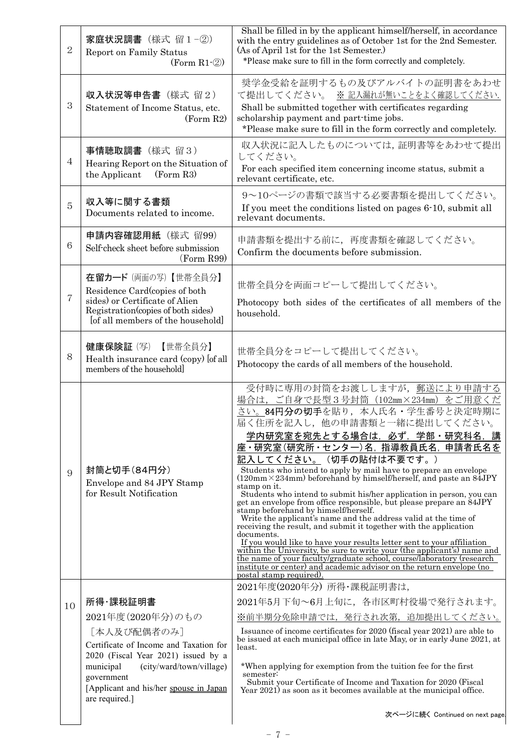| $\overline{2}$ | 家庭状況調書 (様式 留1-2)<br><b>Report on Family Status</b><br>$(Form R1-2)$                                                                                                 | Shall be filled in by the applicant himself/herself, in accordance<br>with the entry guidelines as of October 1st for the 2nd Semester.<br>(As of April 1st for the 1st Semester.)<br>*Please make sure to fill in the form correctly and completely.                                                                                                                                                                                                                                                                                                                                                                                                                                                                                                                                                                                                                                                                                                                                                                                                                                              |  |
|----------------|---------------------------------------------------------------------------------------------------------------------------------------------------------------------|----------------------------------------------------------------------------------------------------------------------------------------------------------------------------------------------------------------------------------------------------------------------------------------------------------------------------------------------------------------------------------------------------------------------------------------------------------------------------------------------------------------------------------------------------------------------------------------------------------------------------------------------------------------------------------------------------------------------------------------------------------------------------------------------------------------------------------------------------------------------------------------------------------------------------------------------------------------------------------------------------------------------------------------------------------------------------------------------------|--|
| 3              | 収入状況等申告書 (様式 留2)<br>Statement of Income Status, etc.<br>(Form R2)                                                                                                   | 奨学金受給を証明するもの及びアルバイトの証明書をあわせ<br>て提出してください。 ※記入漏れが無いことをよく確認してください.<br>Shall be submitted together with certificates regarding<br>scholarship payment and part-time jobs.<br>*Please make sure to fill in the form correctly and completely.                                                                                                                                                                                                                                                                                                                                                                                                                                                                                                                                                                                                                                                                                                                                                                                                                                                          |  |
| $\overline{4}$ | 事情聴取調書 (様式留3)<br>Hearing Report on the Situation of<br>(Form R3)<br>the Applicant                                                                                   | 収入状況に記入したものについては、証明書等をあわせて提出<br>してください。<br>For each specified item concerning income status, submit a<br>relevant certificate, etc.                                                                                                                                                                                                                                                                                                                                                                                                                                                                                                                                                                                                                                                                                                                                                                                                                                                                                                                                                                |  |
| 5              | 収入等に関する書類<br>Documents related to income.                                                                                                                           | 9~10ページの書類で該当する必要書類を提出してください。<br>If you meet the conditions listed on pages 6-10, submit all<br>relevant documents.                                                                                                                                                                                                                                                                                                                                                                                                                                                                                                                                                                                                                                                                                                                                                                                                                                                                                                                                                                                |  |
| 6              | 申請内容確認用紙 (様式留99)<br>Self-check sheet before submission<br>(Form R99)                                                                                                | 申請書類を提出する前に、再度書類を確認してください。<br>Confirm the documents before submission.                                                                                                                                                                                                                                                                                                                                                                                                                                                                                                                                                                                                                                                                                                                                                                                                                                                                                                                                                                                                                             |  |
| $\overline{7}$ | 在留カード (両面の写)【世帯全員分】<br>Residence Card (copies of both<br>sides) or Certificate of Alien<br>Registration (copies of both sides)<br>[of all members of the household] | 世帯全員分を両面コピーして提出してください。<br>Photocopy both sides of the certificates of all members of the<br>household.                                                                                                                                                                                                                                                                                                                                                                                                                                                                                                                                                                                                                                                                                                                                                                                                                                                                                                                                                                                             |  |
| 8              | 健康保険証 (写)<br>【世帯全員分】<br>Health insurance card (copy) [of all<br>members of the household                                                                            | 世帯全員分をコピーして提出してください。<br>Photocopy the cards of all members of the household.                                                                                                                                                                                                                                                                                                                                                                                                                                                                                                                                                                                                                                                                                                                                                                                                                                                                                                                                                                                                                       |  |
| 9              | 封筒と切手(84円分)<br>Envelope and 84 JPY Stamp<br>for Result Notification                                                                                                 | 受付時に専用の封筒をお渡ししますが、郵送により申請する<br>場合は、ご自身で長型3号封筒 (102mm×234mm) をご用意くだ<br>さい。84円分の切手を貼り、本人氏名·学生番号と決定時期に<br>届く住所を記入し、他の申請書類と一緒に提出してください。<br>学内研究室を宛先とする場合は,必ず,学部・研究科名,講<br>座·研究室(研究所·センター)名, 指導教員氏名, 申請者氏名を<br>記入してください。(切手の貼付は不要です。)<br>Students who intend to apply by mail have to prepare an envelope<br>$(120 \text{mm} \times 234 \text{mm})$ beforehand by himself/herself, and paste an $84$ JPY<br>stamp on it.<br>Students who intend to submit his/her application in person, you can<br>get an envelope from office responsible, but please prepare an 84JPY<br>stamp beforehand by himself/herself.<br>Write the applicant's name and the address valid at the time of<br>receiving the result, and submit it together with the application<br>documents.<br>If you would like to have your results letter sent to your affiliation<br>within the University, be sure to write your (the applicant's) name and<br>the name of your faculty/graduate school, course/laboratory (research)<br>institute or center) and academic advisor on the return envelope (no<br>postal stamp required) |  |
| 10             | 所得·課税証明書                                                                                                                                                            | 2021年度(2020年分)所得・課税証明書は,<br>2021年5月下旬~6月上旬に、各市区町村役場で発行されます。                                                                                                                                                                                                                                                                                                                                                                                                                                                                                                                                                                                                                                                                                                                                                                                                                                                                                                                                                                                                                                        |  |
|                | 2021年度(2020年分)のもの                                                                                                                                                   | ※前半期分免除申請では、発行され次第、追加提出してください。                                                                                                                                                                                                                                                                                                                                                                                                                                                                                                                                                                                                                                                                                                                                                                                                                                                                                                                                                                                                                                                                     |  |
|                | [本人及び配偶者のみ]<br>Certificate of Income and Taxation for<br>2020 (Fiscal Year 2021) issued by a                                                                        | Issuance of income certificates for 2020 (fiscal year 2021) are able to<br>be issued at each municipal office in late May, or in early June 2021, at<br>least.                                                                                                                                                                                                                                                                                                                                                                                                                                                                                                                                                                                                                                                                                                                                                                                                                                                                                                                                     |  |
|                | (city/ward/town/village)<br>municipal                                                                                                                               | *When applying for exemption from the tuition fee for the first                                                                                                                                                                                                                                                                                                                                                                                                                                                                                                                                                                                                                                                                                                                                                                                                                                                                                                                                                                                                                                    |  |
|                | government<br>[Applicant and his/her spouse in Japan<br>are required.]                                                                                              | semester:<br>Submit your Certificate of Income and Taxation for 2020 (Fiscal<br>Year 2021) as soon as it becomes available at the municipal office.                                                                                                                                                                                                                                                                                                                                                                                                                                                                                                                                                                                                                                                                                                                                                                                                                                                                                                                                                |  |
|                |                                                                                                                                                                     | 次ページに続く Continued on next page.                                                                                                                                                                                                                                                                                                                                                                                                                                                                                                                                                                                                                                                                                                                                                                                                                                                                                                                                                                                                                                                                    |  |
|                | $-7-$                                                                                                                                                               |                                                                                                                                                                                                                                                                                                                                                                                                                                                                                                                                                                                                                                                                                                                                                                                                                                                                                                                                                                                                                                                                                                    |  |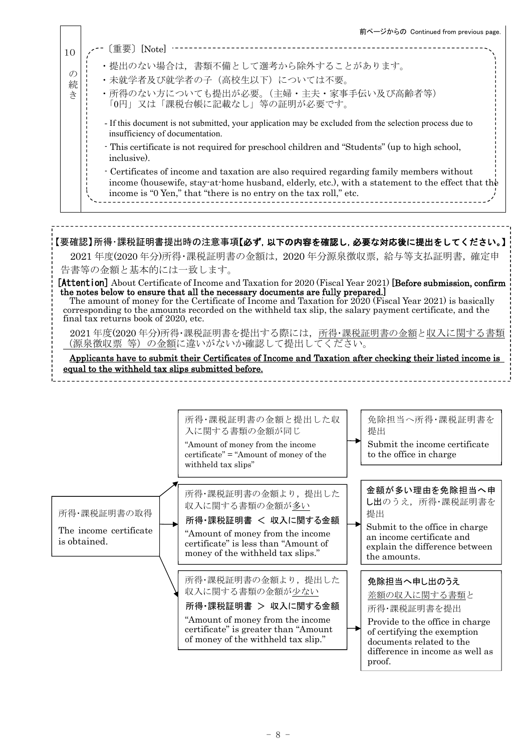|                                                                                                                                                                                                                                                                                                                                                                                                                                                                                                                                                                                                                                                                                                                                                                                                                                                                                     |                                                                                                                                                                                                                                                                                                                                                                                                                                                                            | 前ページからの Continued from previous page.                                                                                                                                                                                                        |  |  |
|-------------------------------------------------------------------------------------------------------------------------------------------------------------------------------------------------------------------------------------------------------------------------------------------------------------------------------------------------------------------------------------------------------------------------------------------------------------------------------------------------------------------------------------------------------------------------------------------------------------------------------------------------------------------------------------------------------------------------------------------------------------------------------------------------------------------------------------------------------------------------------------|----------------------------------------------------------------------------------------------------------------------------------------------------------------------------------------------------------------------------------------------------------------------------------------------------------------------------------------------------------------------------------------------------------------------------------------------------------------------------|----------------------------------------------------------------------------------------------------------------------------------------------------------------------------------------------------------------------------------------------|--|--|
| 10<br>$\mathcal{O}$<br>続<br>さ                                                                                                                                                                                                                                                                                                                                                                                                                                                                                                                                                                                                                                                                                                                                                                                                                                                       | 〔重要〕[Note]<br>・提出のない場合は、書類不備として選考から除外することがあります。<br>・未就学者及び就学者の子(高校生以下)については不要。<br>・所得のない方についても提出が必要。(主婦・主夫・家事手伝い及び高齢者等)<br>「0円」又は「課税台帳に記載なし」等の証明が必要です。                                                                                                                                                                                                                                                                                                                     |                                                                                                                                                                                                                                              |  |  |
| insufficiency of documentation.<br>inclusive).                                                                                                                                                                                                                                                                                                                                                                                                                                                                                                                                                                                                                                                                                                                                                                                                                                      | - If this document is not submitted, your application may be excluded from the selection process due to<br>This certificate is not required for preschool children and "Students" (up to high school,<br>- Certificates of income and taxation are also required regarding family members without<br>income (housewife, stay-at-home husband, elderly, etc.), with a statement to the effect that the<br>income is "0 Yen," that "there is no entry on the tax roll," etc. |                                                                                                                                                                                                                                              |  |  |
| 【要確認】所得・課税証明書提出時の注意事項【必ず, 以下の内容を確認し, 必要な対応後に提出をしてください。】<br>2021 年度(2020年分)所得・課税証明書の金額は、2020 年分源泉徴収票, 給与等支払証明書, 確定申<br>告書等の金額と基本的には一致します。<br><b>[Attention]</b> About Certificate of Income and Taxation for 2020 (Fiscal Year 2021) <b>[Before submission, confirm</b><br>the notes below to ensure that all the necessary documents are fully prepared.<br>The amount of money for the Certificate of Income and Taxation for 2020 (Fiscal Year 2021) is basically<br>corresponding to the amounts recorded on the withheld tax slip, the salary payment certificate, and the<br>final tax returns book of 2020, etc.<br>2021年度(2020年分)所得・課税証明書を提出する際には,所得・課税証明書の金額と収入に関する書類<br>(源泉徴収票 等)の金額に違いがないか確認して提出してください。<br>Applicants have to submit their Certificates of Income and Taxation after checking their listed income is<br>equal to the withheld tax slips submitted before. |                                                                                                                                                                                                                                                                                                                                                                                                                                                                            |                                                                                                                                                                                                                                              |  |  |
| 所得・課税証明書の取得<br>The income certificate<br>is obtained.                                                                                                                                                                                                                                                                                                                                                                                                                                                                                                                                                                                                                                                                                                                                                                                                                               | 所得・課税証明書の金額と提出した収<br>入に関する書類の金額が同じ<br>"Amount of money from the income<br>certificate" = "Amount of money of the<br>withheld tax slips"<br>所得・課税証明書の金額より、提出した<br>収入に関する書類の金額が多い<br>所得・課税証明書 < 収入に関する金額<br>"Amount of money from the income<br>certificate" is less than "Amount of<br>money of the withheld tax slips."                                                                                                                                                    | 免除担当へ所得·課税証明書を<br>提出<br>Submit the income certificate<br>to the office in charge<br>金額が多い理由を免除担当へ申<br>し出のうえ、所得·課税証明書を<br>提出<br>Submit to the office in charge<br>an income certificate and<br>explain the difference between<br>the amounts. |  |  |
|                                                                                                                                                                                                                                                                                                                                                                                                                                                                                                                                                                                                                                                                                                                                                                                                                                                                                     | 所得・課税証明書の金額より、提出した<br>収入に関する書類の金額が少ない<br>所得・課税証明書 > 収入に関する金額<br>"Amount of money from the income<br>certificate" is greater than "Amount"<br>of money of the withheld tax slip."                                                                                                                                                                                                                                                                                           | 免除担当へ申し出のうえ<br>差額の収入に関する書類と<br>所得・課税証明書を提出<br>Provide to the office in charge<br>of certifying the exemption<br>documents related to the<br>difference in income as well as<br>proof.                                                        |  |  |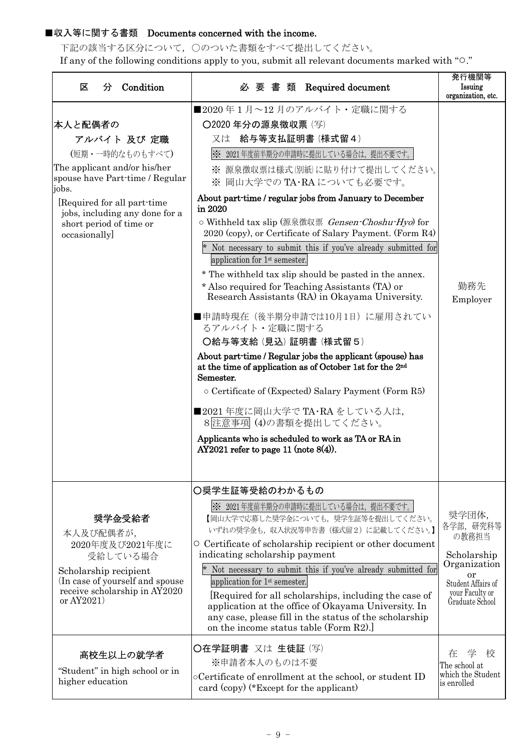## ■収入等に関する書類 Documents concerned with the income.

下記の該当する区分について,○のついた書類をすべて提出してください。 If any of the following conditions apply to you, submit all relevant documents marked with "○."

| 分 Condition<br>区                                                                                                                                                                                                                   | 必 要 書 類 Required document                                                                                                                                                                                                                                                                                                                                                                                                                                                                                                                                                                                                                                                                                                                                                                                                                                                                                                                                                                                                                                                                        | 発行機関等<br>Issuing<br>organization, etc.                                                                                       |
|------------------------------------------------------------------------------------------------------------------------------------------------------------------------------------------------------------------------------------|--------------------------------------------------------------------------------------------------------------------------------------------------------------------------------------------------------------------------------------------------------------------------------------------------------------------------------------------------------------------------------------------------------------------------------------------------------------------------------------------------------------------------------------------------------------------------------------------------------------------------------------------------------------------------------------------------------------------------------------------------------------------------------------------------------------------------------------------------------------------------------------------------------------------------------------------------------------------------------------------------------------------------------------------------------------------------------------------------|------------------------------------------------------------------------------------------------------------------------------|
| 本人と配偶者の<br>アルバイト 及び 定職<br>(短期・一時的なものもすべて)<br>The applicant and/or his/her<br>spouse have Part-time / Regular<br>jobs.<br>[Required for all part-time]<br>jobs, including any done for a<br>short period of time or<br>occasionally | ■2020年1月~12月のアルバイト・定職に関する<br>○2020年分の源泉徴収票 (写)<br>給与等支払証明書 (様式留4)<br>又は<br>※ 2021年度前半期分の申請時に提出している場合は、提出不要です。<br>※ 源泉徴収票は様式 (別紙)に貼り付けて提出してください。<br>※ 岡山大学での TA·RA についても必要です。<br>About part-time / regular jobs from January to December<br>in 2020<br>o Withheld tax slip (源泉徴収票 Gensen-Choshu-Hyo) for<br>2020 (copy), or Certificate of Salary Payment. (Form R4)<br>* Not necessary to submit this if you've already submitted for<br>application for $1st$ semester.<br>* The withheld tax slip should be pasted in the annex.<br>* Also required for Teaching Assistants (TA) or<br>Research Assistants (RA) in Okayama University.<br>■申請時現在(後半期分申請では10月1日)に雇用されてい<br>るアルバイト・定職に関する<br>〇給与等支給 (見込) 証明書 (様式留5)<br>About part-time / Regular jobs the applicant (spouse) has<br>at the time of application as of October 1st for the 2 <sup>nd</sup><br>Semester.<br>$\circ$ Certificate of (Expected) Salary Payment (Form R5)<br>■2021年度に岡山大学で TA·RA をしている人は,<br>8 注意事項(4)の書類を提出してください。<br>Applicants who is scheduled to work as TA or RA in<br>$AY2021$ refer to page 11 (note $8(4)$ ). | 勤務先<br>Employer                                                                                                              |
| 奨学金受給者<br>本人及び配偶者が,<br>2020年度及び2021年度に<br>受給している場合<br>Scholarship recipient<br>(In case of yourself and spouse)<br>receive scholarship in AY2020<br>or $AY2021$                                                                    | ○奨学生証等受給のわかるもの<br>※ 2021年度前半期分の申請時に提出している場合は、提出不要です。<br>【岡山大学で応募した奨学金についても、奨学生証等を提出してください。<br>いずれの奨学金も、収入状況等申告書(様式留2)に記載してください。】<br>○ Certificate of scholarship recipient or other document<br>indicating scholarship payment<br>Not necessary to submit this if you've already submitted for<br>application for 1 <sup>st</sup> semester.<br>[Required for all scholarships, including the case of<br>application at the office of Okayama University. In<br>any case, please fill in the status of the scholarship<br>on the income status table (Form $R2$ ).                                                                                                                                                                                                                                                                                                                                                                                                                                                                                                                                | 奨学団体,<br>各学部, 研究科等<br>の教務担当<br>Scholarship<br>Organization<br>or<br>Student Affairs of<br>your Faculty or<br>Graduate School |
| 高校生以上の就学者<br>"Student" in high school or in<br>higher education                                                                                                                                                                    | ○在学証明書 又は 生徒証 (写)<br>※申請者本人のものは不要<br>oCertificate of enrollment at the school, or student ID<br>card $\langle$ copy $\rangle$ (*Except for the applicant)                                                                                                                                                                                                                                                                                                                                                                                                                                                                                                                                                                                                                                                                                                                                                                                                                                                                                                                                        | 学<br>在<br>校<br>The school at<br>which the Student<br>is enrolled                                                             |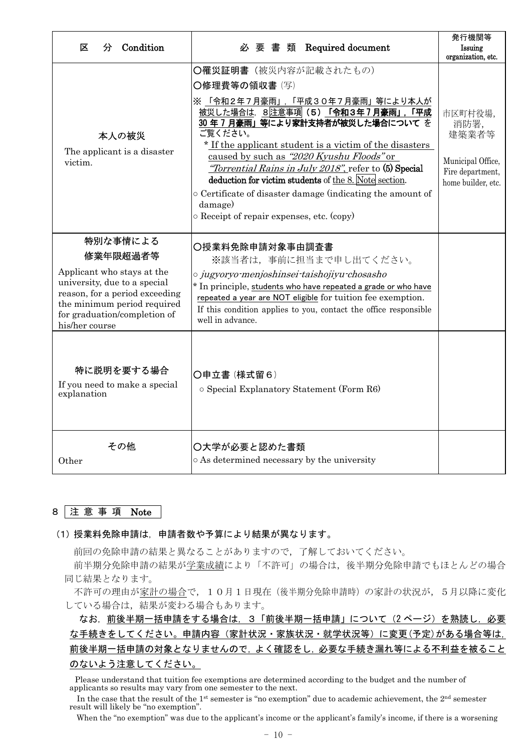| Condition<br>区<br>分                                                                                                                                                                                   | Required document<br>必要書類                                                                                                                                                                                                                                                                                                                                                                                                                                                                                        | 発行機関等<br>Issuing<br>organization, etc.                                                  |
|-------------------------------------------------------------------------------------------------------------------------------------------------------------------------------------------------------|------------------------------------------------------------------------------------------------------------------------------------------------------------------------------------------------------------------------------------------------------------------------------------------------------------------------------------------------------------------------------------------------------------------------------------------------------------------------------------------------------------------|-----------------------------------------------------------------------------------------|
| 本人の被災<br>The applicant is a disaster<br>victim.                                                                                                                                                       | O罹災証明書 (被災内容が記載されたもの)<br>○修理費等の領収書 (写)<br>※ 「令和2年7月豪雨」, 「平成30年7月豪雨」等により本人が<br>被災した場合は、8注意事項 (5) 「令和3年7月豪雨」,「平成<br>30年7月豪雨」等により家計支持者が被災した場合についてを<br>ご覧ください。<br>* If the applicant student is a victim of the disasters<br>caused by such as "2020 Kyushu Floods" or<br>"Torrential Rains in July 2018", refer to (5) Special<br>deduction for victim students of the 8. Note section.<br>o Certificate of disaster damage (indicating the amount of<br>damage)<br>$\circ$ Receipt of repair expenses, etc. (copy) | 市区町村役場,<br>消防署,<br>建築業者等<br>Municipal Office,<br>Fire department,<br>home builder, etc. |
| 特別な事情による<br>修業年限超過者等<br>Applicant who stays at the<br>university, due to a special<br>reason, for a period exceeding<br>the minimum period required<br>for graduation/completion of<br>his/her course | ○授業料免除申請対象事由調査書<br>※該当者は、事前に担当まで申し出てください。<br>o jugyoryo menjoshinsei taishojiyu chosasho<br>* In principle, students who have repeated a grade or who have<br>repeated a year are NOT eligible for tuition fee exemption.<br>If this condition applies to you, contact the office responsible<br>well in advance.                                                                                                                                                                                                |                                                                                         |
| 特に説明を要する場合<br>If you need to make a special<br>explanation                                                                                                                                            | 〇申立書 (様式留6)<br>o Special Explanatory Statement (Form R6)                                                                                                                                                                                                                                                                                                                                                                                                                                                         |                                                                                         |
| その他<br>Other                                                                                                                                                                                          | ○大学が必要と認めた書類<br>o As determined necessary by the university                                                                                                                                                                                                                                                                                                                                                                                                                                                      |                                                                                         |

#### 8 注 意 事 項 Note

(1) 授業料免除申請は,申請者数や予算により結果が異なります。

前回の免除申請の結果と異なることがありますので,了解しておいてください。

前半期分免除申請の結果が学業成績により「不許可」の場合は,後半期分免除申請でもほとんどの場合 同じ結果となります。

不許可の理由が家計の場合で,10月1日現在(後半期分免除申請時)の家計の状況が,5月以降に変化 している場合は,結果が変わる場合もあります。

なお、前後半期一括申請をする場合は、3「前後半期一括申請」について(2ページ)を熟読し、必要 な手続きをしてください。申請内容(家計状況・家族状況・就学状況等)に変更(予定)がある場合等は, 前後半期一括申請の対象となりませんので,よく確認をし,必要な手続き漏れ等による不利益を被ること のないよう注意してください。

Please understand that tuition fee exemptions are determined according to the budget and the number of applicants so results may vary from one semester to the next.

In the case that the result of the 1<sup>st</sup> semester is "no exemption" due to academic achievement, the 2<sup>nd</sup> semester result will likely be "no exemption".

When the "no exemption" was due to the applicant's income or the applicant's family's income, if there is a worsening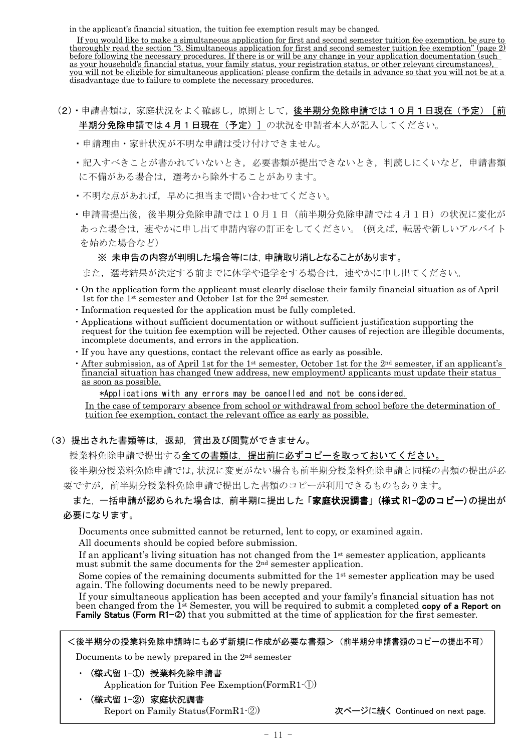in the applicant's financial situation, the tuition fee exemption result may be changed.

If you would like to make a simultaneous application for first and second semester tuition fee exemption, be sure to thoroughly read the section "3. Simultaneous application for first and second semester tuition fee exemption" (page 2) before following the necessary procedures. If there is or will be any change in your application documentation (such as your household's financial status, your family status, your registration status, or other relevant circumstances), you will not be eligible for simultaneous application; please confirm the details in advance so that you will not be at a disadvantage due to failure to complete the necessary procedures.

- (2)·申請書類は,家庭状況をよく確認し,原則として,後半期分免除申請では10月1日現在(予定)[前 半期分免除申請では4月1日現在(予定)]の状況を申請者本人が記入してください。
	- ・申請理由・家計状況が不明な申請は受け付けできません。
	- ・記入すべきことが書かれていないとき,必要書類が提出できないとき,判読しにくいなど,申請書類 に不備がある場合は、選考から除外することがあります。
	- •不明な点があれば、早めに担当まで問い合わせてください。
	- ・申請書提出後,後半期分免除申請では10月1日(前半期分免除申請では4月1日)の状況に変化が あった場合は,速やかに申し出て申請内容の訂正をしてください。(例えば,転居や新しいアルバイト を始めた場合など)

#### ※ 未申告の内容が判明した場合等には,申請取り消しとなることがあります。

また、選考結果が決定する前までに休学や退学をする場合は、速やかに申し出てください。

- ・On the application form the applicant must clearly disclose their family financial situation as of April 1st for the 1<sup>st</sup> semester and October 1st for the 2<sup>nd</sup> semester.
- ・Information requested for the application must be fully completed.
- ・Applications without sufficient documentation or without sufficient justification supporting the request for the tuition fee exemption will be rejected. Other causes of rejection are illegible documents, incomplete documents, and errors in the application.
- ・If you have any questions, contact the relevant office as early as possible.
- $\cdot$  After submission, as of April 1st for the 1<sup>st</sup> semester, October 1st for the 2<sup>nd</sup> semester, if an applicant's financial situation has changed (new address, new employment) applicants must update their status as soon as possible.

\*Applications with any errors may be cancelled and not be considered.

In the case of temporary absence from school or withdrawal from school before the determination of tuition fee exemption, contact the relevant office as early as possible.

(3) 提出された書類等は,返却,貸出及び閲覧ができません。

授業料免除申請で提出する全ての書類は,提出前に必ずコピーを取っておいてください。

後半期分授業料免除申請では,状況に変更がない場合も前半期分授業料免除申請と同様の書類の提出が必 要ですが,前半期分授業料免除申請で提出した書類のコピーが利用できるものもあります。

# また,一括申請が認められた場合は,前半期に提出した「家庭状況調書」(様式 R1-②のコピー)の提出が

## 必要になります。

Documents once submitted cannot be returned, lent to copy, or examined again.

All documents should be copied before submission.

If an applicant's living situation has not changed from the 1st semester application, applicants must submit the same documents for the 2nd semester application.

Some copies of the remaining documents submitted for the  $1<sup>st</sup>$  semester application may be used again. The following documents need to be newly prepared.

If your simultaneous application has been accepted and your family's financial situation has not been changed from the 1<sup>st</sup> Semester, you will be required to submit a completed **copy of a Report on** Family Status (Form  $R1-\mathcal{Q}$ ) that you submitted at the time of application for the first semester.

<後半期分の授業料免除申請時にも必ず新規に作成が必要な書類>(前半期分申請書類のコピーの提出不可)

Documents to be newly prepared in the 2nd semester

• (様式留 1-①) 授業料免除申請書

Application for Tuition Fee Exemption(FormR1-①)

• (様式留 1-2) 家庭状況調書 Report on Family Status(FormR1-2) 次ページに続く Continued on next page.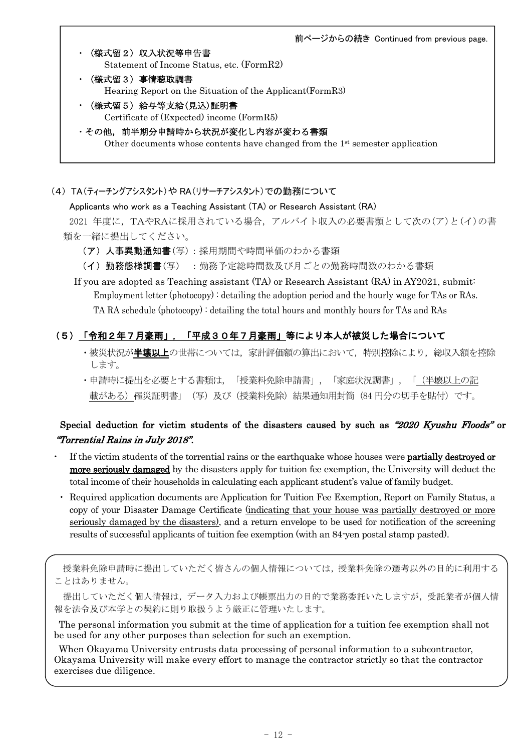前ページからの続き Continued from previous page.

- ・(様式留2)収入状況等申告書 Statement of Income Status, etc. (FormR2)
- ・(様式留3)事情聴取調書 Hearing Report on the Situation of the Applicant(FormR3)
- (様式留5)給与等支給(見込)証明書 Certificate of (Expected) income (FormR5)
- ・その他,前半期分申請時から状況が変化し内容が変わる書類 Other documents whose contents have changed from the 1<sup>st</sup> semester application

(4) TA(ティーチングアシスタント)や RA(リサーチアシスタント)での勤務について

Applicants who work as a Teaching Assistant (TA) or Research Assistant (RA)

2021 年度に,TAやRAに採用されている場合,アルバイト収入の必要書類として次の(ア)と(イ)の書 類を一緒に提出してください。

- (ア)人事異動通知書(写):採用期間や時間単価のわかる書類
- (イ)勤務態様調書(写) :勤務予定総時間数及び月ごとの勤務時間数のわかる書類

If you are adopted as Teaching assistant (TA) or Research Assistant (RA) in AY2021, submit: Employment letter (photocopy) : detailing the adoption period and the hourly wage for TAs or RAs. TA RA schedule (photocopy) : detailing the total hours and monthly hours for TAs and RAs

# (5)「令和2年7月豪雨」, 「平成30年7月豪雨」等により本人が被災した場合について

- ・被災状況が**半壊以上**の世帯については,家計評価額の算出において,特別控除により,総収入額を控除 します。
- ・申請時に提出を必要とする書類は,「授業料免除申請書」,「家庭状況調書」,「(半壊以上の記 載がある)罹災証明書」(写)及び(授業料免除)結果通知用封筒(84円分の切手を貼付)です。

# Special deduction for victim students of the disasters caused by such as "2020 Kyushu Floods" or "Torrential Rains in July 2018".

- If the victim students of the torrential rains or the earthquake whose houses were **partially destroyed or** more seriously damaged by the disasters apply for tuition fee exemption, the University will deduct the total income of their households in calculating each applicant student's value of family budget.
- ・ Required application documents are Application for Tuition Fee Exemption, Report on Family Status, a copy of your Disaster Damage Certificate (indicating that your house was partially destroyed or more seriously damaged by the disasters), and a return envelope to be used for notification of the screening results of successful applicants of tuition fee exemption (with an 84-yen postal stamp pasted).

授業料免除申請時に提出していただく皆さんの個人情報については,授業料免除の選考以外の目的に利用する ことはありません。

提出していただく個人情報は,データ入力および帳票出力の目的で業務委託いたしますが,受託業者が個人情 報を法令及び本学との契約に則り取扱うよう厳正に管理いたします。

The personal information you submit at the time of application for a tuition fee exemption shall not be used for any other purposes than selection for such an exemption.

When Okayama University entrusts data processing of personal information to a subcontractor, Okayama University will make every effort to manage the contractor strictly so that the contractor exercises due diligence.